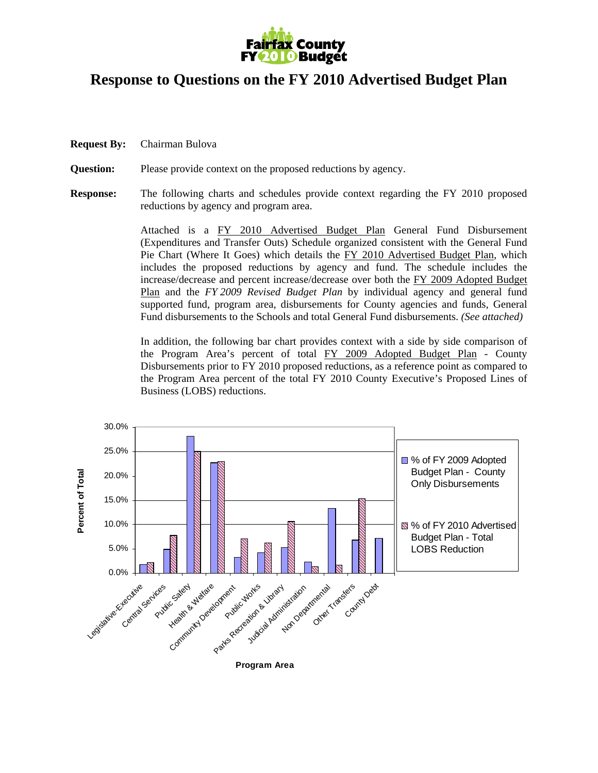

## **Response to Questions on the FY 2010 Advertised Budget Plan**

**Request By:** Chairman Bulova

**Question:** Please provide context on the proposed reductions by agency.

**Response:** The following charts and schedules provide context regarding the FY 2010 proposed reductions by agency and program area.

> Attached is a FY 2010 Advertised Budget Plan General Fund Disbursement (Expenditures and Transfer Outs) Schedule organized consistent with the General Fund Pie Chart (Where It Goes) which details the FY 2010 Advertised Budget Plan, which includes the proposed reductions by agency and fund. The schedule includes the increase/decrease and percent increase/decrease over both the FY 2009 Adopted Budget Plan and the *FY 2009 Revised Budget Plan* by individual agency and general fund supported fund, program area, disbursements for County agencies and funds, General Fund disbursements to the Schools and total General Fund disbursements. *(See attached)*

> In addition, the following bar chart provides context with a side by side comparison of the Program Area's percent of total FY 2009 Adopted Budget Plan - County Disbursements prior to FY 2010 proposed reductions, as a reference point as compared to the Program Area percent of the total FY 2010 County Executive's Proposed Lines of Business (LOBS) reductions.

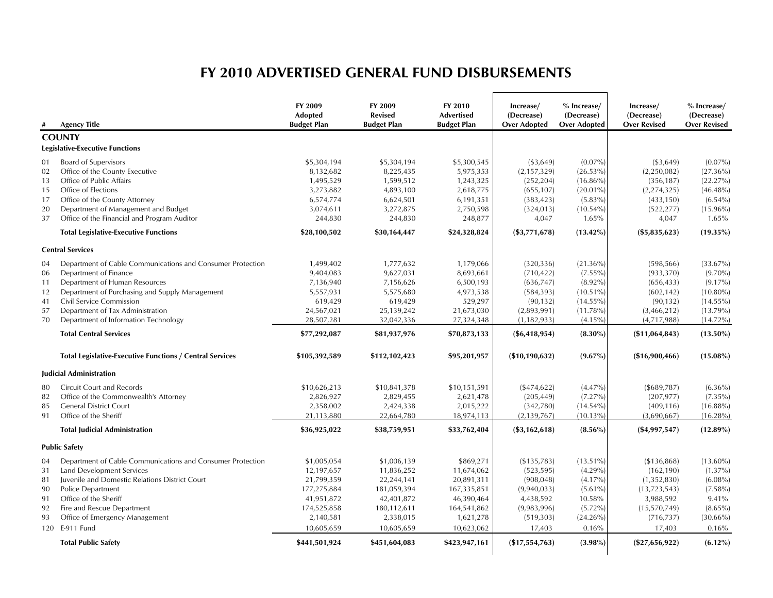## **FY 2010 ADVERTISED GENERAL FUND DISBURSEMENTS**

|    | <b>Agency Title</b>                                             | FY 2009<br><b>Adopted</b><br><b>Budget Plan</b> | FY 2009<br><b>Revised</b><br><b>Budget Plan</b> | FY 2010<br>Advertised<br><b>Budget Plan</b> | Increase/<br>(Decrease)<br><b>Over Adopted</b> | $%$ Increase/<br>(Decrease)<br><b>Over Adopted</b> | Increase/<br>(Decrease)<br><b>Over Revised</b> | % Increase/<br>(Decrease)<br><b>Over Revised</b> |
|----|-----------------------------------------------------------------|-------------------------------------------------|-------------------------------------------------|---------------------------------------------|------------------------------------------------|----------------------------------------------------|------------------------------------------------|--------------------------------------------------|
|    | <b>COUNTY</b>                                                   |                                                 |                                                 |                                             |                                                |                                                    |                                                |                                                  |
|    | <b>Legislative-Executive Functions</b>                          |                                                 |                                                 |                                             |                                                |                                                    |                                                |                                                  |
| 01 | <b>Board of Supervisors</b>                                     | \$5,304,194                                     | \$5,304,194                                     | \$5,300,545                                 | ( \$3,649)                                     | $(0.07\%)$                                         | ( \$3,649)                                     | $(0.07\%)$                                       |
| 02 | Office of the County Executive                                  | 8,132,682                                       | 8,225,435                                       | 5,975,353                                   | (2, 157, 329)                                  | $(26.53\%)$                                        | (2,250,082)                                    | $(27.36\%)$                                      |
| 13 | Office of Public Affairs                                        | 1,495,529                                       | 1,599,512                                       | 1,243,325                                   | (252, 204)                                     | $(16.86\%)$                                        | (356, 187)                                     | (22.27%)                                         |
| 15 | Office of Elections                                             | 3,273,882                                       | 4,893,100                                       | 2,618,775                                   | (655, 107)                                     | $(20.01\%)$                                        | (2, 274, 325)                                  | $(46.48\%)$                                      |
| 17 | Office of the County Attorney                                   | 6,574,774                                       | 6,624,501                                       | 6,191,351                                   | (383, 423)                                     | $(5.83\%)$                                         | (433, 150)                                     | $(6.54\%)$                                       |
| 20 | Department of Management and Budget                             | 3,074,611                                       | 3,272,875                                       | 2,750,598                                   | (324, 013)                                     | $(10.54\%)$                                        | (522, 277)                                     | $(15.96\%)$                                      |
| 37 | Office of the Financial and Program Auditor                     | 244,830                                         | 244,830                                         | 248,877                                     | 4,047                                          | 1.65%                                              | 4,047                                          | 1.65%                                            |
|    | <b>Total Legislative-Executive Functions</b>                    | \$28,100,502                                    | \$30,164,447                                    | \$24,328,824                                | $(\$3,771,678)$                                | $(13.42\%)$                                        | $(\$5,835,623)$                                | $(19.35\%)$                                      |
|    | <b>Central Services</b>                                         |                                                 |                                                 |                                             |                                                |                                                    |                                                |                                                  |
| 04 | Department of Cable Communications and Consumer Protection      | 1,499,402                                       | 1,777,632                                       | 1,179,066                                   | (320, 336)                                     | $(21.36\%)$                                        | (598, 566)                                     | $(33.67\%)$                                      |
| 06 | Department of Finance                                           | 9,404,083                                       | 9,627,031                                       | 8,693,661                                   | (710, 422)                                     | $(7.55\%)$                                         | (933, 370)                                     | $(9.70\%)$                                       |
| 11 | Department of Human Resources                                   | 7,136,940                                       | 7,156,626                                       | 6,500,193                                   | (636, 747)                                     | $(8.92\%)$                                         | (656, 433)                                     | $(9.17\%)$                                       |
| 12 | Department of Purchasing and Supply Management                  | 5,557,931                                       | 5,575,680                                       | 4,973,538                                   | (584, 393)                                     | $(10.51\%)$                                        | (602, 142)                                     | $(10.80\%)$                                      |
| 41 | Civil Service Commission                                        | 619,429                                         | 619,429                                         | 529,297                                     | (90, 132)                                      | $(14.55\%)$                                        | (90, 132)                                      | $(14.55\%)$                                      |
| 57 | Department of Tax Administration                                | 24,567,021                                      | 25,139,242                                      | 21,673,030                                  | (2,893,991)                                    | $(11.78\%)$                                        | (3,466,212)                                    | $(13.79\%)$                                      |
| 70 | Department of Information Technology                            | 28,507,281                                      | 32,042,336                                      | 27,324,348                                  | (1, 182, 933)                                  | (4.15%                                             | (4,717,988)                                    | $(14.72\%)$                                      |
|    | <b>Total Central Services</b>                                   | \$77,292,087                                    | \$81,937,976                                    | \$70,873,133                                | $(\$6,418,954)$                                | $(8.30\%)$                                         | (\$11,064,843)                                 | $(13.50\%)$                                      |
|    | <b>Total Legislative-Executive Functions / Central Services</b> | \$105,392,589                                   | \$112,102,423                                   | \$95,201,957                                | (\$10,190,632)                                 | $(9.67\%)$                                         | (\$16,900,466)                                 | $(15.08\%)$                                      |
|    | <b>Iudicial Administration</b>                                  |                                                 |                                                 |                                             |                                                |                                                    |                                                |                                                  |
| 80 | <b>Circuit Court and Records</b>                                | \$10,626,213                                    | \$10,841,378                                    | \$10,151,591                                | ( \$474, 622)                                  | $(4.47\%)$                                         | ( \$689, 787)                                  | $(6.36\%)$                                       |
| 82 | Office of the Commonwealth's Attorney                           | 2,826,927                                       | 2,829,455                                       | 2,621,478                                   | (205, 449)                                     | $(7.27\%)$                                         | (207, 977)                                     | $(7.35\%)$                                       |
| 85 | <b>General District Court</b>                                   | 2,358,002                                       | 2,424,338                                       | 2,015,222                                   | (342,780)                                      | (14.54%                                            | (409, 116)                                     | $(16.88\%)$                                      |
| 91 | Office of the Sheriff                                           | 21,113,880                                      | 22,664,780                                      | 18,974,113                                  | (2, 139, 767)                                  | $(10.13\%)$                                        | (3,690,667)                                    | $(16.28\%)$                                      |
|    | <b>Total Judicial Administration</b>                            | \$36,925,022                                    | \$38,759,951                                    | \$33,762,404                                | $(\$3,162,618)$                                | $(8.56\%)$                                         | $(*4,997,547)$                                 | $(12.89\%)$                                      |
|    | <b>Public Safety</b>                                            |                                                 |                                                 |                                             |                                                |                                                    |                                                |                                                  |
| 04 | Department of Cable Communications and Consumer Protection      | \$1,005,054                                     | \$1,006,139                                     | \$869,271                                   | (\$135,783)                                    | $(13.51\%)$                                        | ( \$136, 868)                                  | $(13.60\%)$                                      |
| 31 | Land Development Services                                       | 12,197,657                                      | 11,836,252                                      | 11,674,062                                  | (523, 595)                                     | $(4.29\%)$                                         | (162, 190)                                     | $(1.37\%)$                                       |
| 81 | Juvenile and Domestic Relations District Court                  | 21,799,359                                      | 22,244,141                                      | 20,891,311                                  | (908, 048)                                     | (4.17%                                             | (1,352,830)                                    | $(6.08\%)$                                       |
| 90 | Police Department                                               | 177,275,884                                     | 181,059,394                                     | 167,335,851                                 | (9,940,033)                                    | $(5.61\%)$                                         | (13, 723, 543)                                 | $(7.58\%)$                                       |
| 91 | Office of the Sheriff                                           | 41,951,872                                      | 42,401,872                                      | 46,390,464                                  | 4,438,592                                      | 10.58%                                             | 3,988,592                                      | 9.41%                                            |
| 92 | Fire and Rescue Department                                      | 174,525,858                                     | 180,112,611                                     | 164,541,862                                 | (9,983,996)                                    | $(5.72\%)$                                         | (15, 570, 749)                                 | $(8.65\%)$                                       |
| 93 | Office of Emergency Management                                  | 2,140,581                                       | 2,338,015                                       | 1,621,278                                   | (519, 303)                                     | $(24.26\%)$                                        | (716, 737)                                     | $(30.66\%)$                                      |
|    | 120 E-911 Fund                                                  | 10,605,659                                      | 10,605,659                                      | 10,623,062                                  | 17,403                                         | 0.16%                                              | 17,403                                         | 0.16%                                            |
|    | <b>Total Public Safety</b>                                      | \$441,501,924                                   | \$451,604,083                                   | \$423,947,161                               | $(\$17,554,763)$                               | $(3.98\%)$                                         | $(\$27,656,922)$                               | $(6.12\%)$                                       |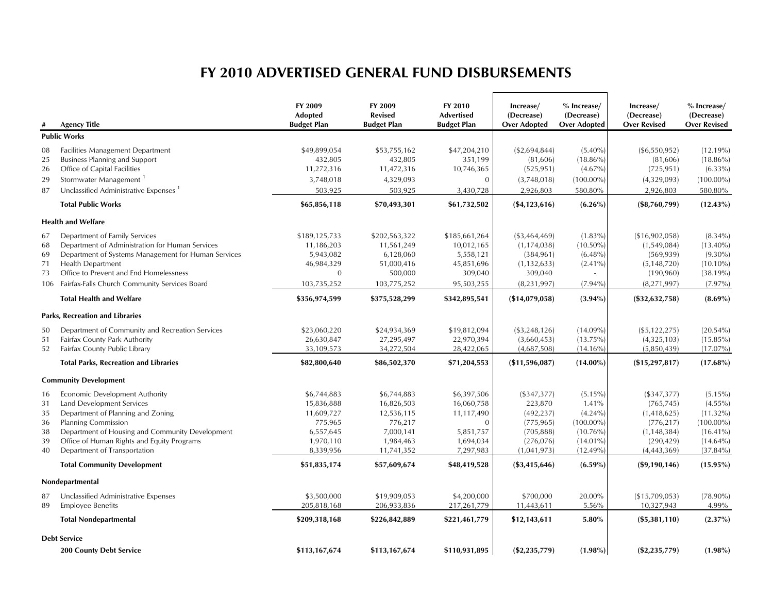## **FY 2010 ADVERTISED GENERAL FUND DISBURSEMENTS**

 $\sim$ 

-

|                                        | <b>Agency Title</b>                                                                                                                                                                                                                                             | FY 2009<br><b>Adopted</b><br><b>Budget Plan</b>                                           | FY 2009<br><b>Revised</b><br><b>Budget Plan</b>                                            | FY 2010<br><b>Advertised</b><br><b>Budget Plan</b>                                  | Increase/<br>(Decrease)<br><b>Over Adopted</b>                                                | $%$ Increase/<br>(Decrease)<br><b>Over Adopted</b>                                             | Increase/<br>(Decrease)<br><b>Over Revised</b>                                                         | $%$ Increase/<br>(Decrease)<br><b>Over Revised</b>                                                   |
|----------------------------------------|-----------------------------------------------------------------------------------------------------------------------------------------------------------------------------------------------------------------------------------------------------------------|-------------------------------------------------------------------------------------------|--------------------------------------------------------------------------------------------|-------------------------------------------------------------------------------------|-----------------------------------------------------------------------------------------------|------------------------------------------------------------------------------------------------|--------------------------------------------------------------------------------------------------------|------------------------------------------------------------------------------------------------------|
|                                        | <b>Public Works</b>                                                                                                                                                                                                                                             |                                                                                           |                                                                                            |                                                                                     |                                                                                               |                                                                                                |                                                                                                        |                                                                                                      |
| 08<br>25<br>26<br>29<br>87             | <b>Facilities Management Department</b><br><b>Business Planning and Support</b><br>Office of Capital Facilities<br>Stormwater Management <sup>1</sup><br>Unclassified Administrative Expenses <sup>1</sup>                                                      | \$49,899,054<br>432,805<br>11,272,316<br>3,748,018<br>503,925                             | \$53,755,162<br>432,805<br>11,472,316<br>4,329,093<br>503,925                              | \$47,204,210<br>351,199<br>10,746,365<br>$\overline{0}$<br>3,430,728                | ( \$2,694,844)<br>(81,606)<br>(525, 951)<br>(3,748,018)<br>2,926,803                          | $(5.40\%)$<br>$(18.86\%)$<br>$(4.67\%)$<br>$(100.00\%)$<br>580.80%                             | ( \$6,550,952)<br>(81,606)<br>(725, 951)<br>(4,329,093)<br>2,926,803                                   | $(12.19\%)$<br>$(18.86\%)$<br>$(6.33\%)$<br>$(100.00\%)$<br>580.80%                                  |
|                                        | <b>Total Public Works</b>                                                                                                                                                                                                                                       | \$65,856,118                                                                              | \$70,493,301                                                                               | \$61,732,502                                                                        | $(\$4,123,616)$                                                                               | $(6.26\%)$                                                                                     | $(\$8,760,799)$                                                                                        | $(12.43\%)$                                                                                          |
|                                        | <b>Health and Welfare</b>                                                                                                                                                                                                                                       |                                                                                           |                                                                                            |                                                                                     |                                                                                               |                                                                                                |                                                                                                        |                                                                                                      |
| 67<br>68<br>69<br>71<br>73             | Department of Family Services<br>Department of Administration for Human Services<br>Department of Systems Management for Human Services<br>Health Department<br>Office to Prevent and End Homelessness<br>106 Fairfax-Falls Church Community Services Board     | \$189,125,733<br>11,186,203<br>5,943,082<br>46,984,329<br>$\overline{0}$<br>103,735,252   | \$202,563,322<br>11,561,249<br>6,128,060<br>51,000,416<br>500,000<br>103,775,252           | \$185,661,264<br>10,012,165<br>5,558,121<br>45,851,696<br>309,040<br>95,503,255     | (\$3,464,469)<br>(1, 174, 038)<br>(384, 961)<br>(1, 132, 633)<br>309,040<br>(8, 231, 997)     | $(1.83\%)$<br>$(10.50\%)$<br>$(6.48\%)$<br>$(2.41\%)$<br>$(7.94\%)$                            | (\$16,902,058)<br>(1,549,084)<br>(569, 939)<br>(5, 148, 720)<br>(190, 960)<br>(8, 271, 997)            | $(8.34\%)$<br>$(13.40\%)$<br>$(9.30\%)$<br>$(10.10\%)$<br>(38.19%)<br>$(7.97\%)$                     |
|                                        | <b>Total Health and Welfare</b>                                                                                                                                                                                                                                 | \$356,974,599                                                                             | \$375,528,299                                                                              | \$342,895,541                                                                       | (\$14,079,058)                                                                                | $(3.94\%)$                                                                                     | $(\$32,632,758)$                                                                                       | $(8.69\%)$                                                                                           |
|                                        | <b>Parks, Recreation and Libraries</b>                                                                                                                                                                                                                          |                                                                                           |                                                                                            |                                                                                     |                                                                                               |                                                                                                |                                                                                                        |                                                                                                      |
| 50<br>51<br>52                         | Department of Community and Recreation Services<br>Fairfax County Park Authority<br>Fairfax County Public Library                                                                                                                                               | \$23,060,220<br>26,630,847<br>33,109,573                                                  | \$24,934,369<br>27,295,497<br>34,272,504                                                   | \$19,812,094<br>22,970,394<br>28,422,065                                            | ( \$3, 248, 126)<br>(3,660,453)<br>(4,687,508)                                                | $(14.09\%)$<br>$(13.75\%)$<br>$(14.16\%)$                                                      | (\$5,122,275)<br>(4,325,103)<br>(5,850,439)                                                            | $(20.54\%)$<br>$(15.85\%)$<br>$(17.07\%)$                                                            |
|                                        | <b>Total Parks, Recreation and Libraries</b>                                                                                                                                                                                                                    | \$82,800,640                                                                              | \$86,502,370                                                                               | \$71,204,553                                                                        | (\$11,596,087)                                                                                | $(14.00\%)$                                                                                    | (\$15,297,817)                                                                                         | $(17.68\%)$                                                                                          |
|                                        | <b>Community Development</b>                                                                                                                                                                                                                                    |                                                                                           |                                                                                            |                                                                                     |                                                                                               |                                                                                                |                                                                                                        |                                                                                                      |
| 16<br>31<br>35<br>36<br>38<br>39<br>40 | Economic Development Authority<br>Land Development Services<br>Department of Planning and Zoning<br><b>Planning Commission</b><br>Department of Housing and Community Development<br>Office of Human Rights and Equity Programs<br>Department of Transportation | \$6,744,883<br>15,836,888<br>11,609,727<br>775,965<br>6,557,645<br>1,970,110<br>8,339,956 | \$6,744,883<br>16,826,503<br>12,536,115<br>776,217<br>7,000,141<br>1,984,463<br>11,741,352 | \$6,397,506<br>16,060,758<br>11,117,490<br>0<br>5,851,757<br>1,694,034<br>7,297,983 | (\$347,377)<br>223,870<br>(492, 237)<br>(775, 965)<br>(705, 888)<br>(276, 076)<br>(1,041,973) | $(5.15\%)$<br>1.41%<br>$(4.24\%)$<br>$(100.00\%)$<br>$(10.76\%)$<br>$(14.01\%)$<br>$(12.49\%)$ | ( \$347, 377)<br>(765, 745)<br>(1,418,625)<br>(776, 217)<br>(1, 148, 384)<br>(290, 429)<br>(4,443,369) | $(5.15\%)$<br>$(4.55\%)$<br>$(11.32\%)$<br>$(100.00\%)$<br>$(16.41\%)$<br>$(14.64\%)$<br>$(37.84\%)$ |
|                                        | <b>Total Community Development</b>                                                                                                                                                                                                                              | \$51,835,174                                                                              | \$57,609,674                                                                               | \$48,419,528                                                                        | $(\$3,415,646)$                                                                               | $(6.59\%)$                                                                                     | $(\$9,190,146)$                                                                                        | $(15.95\%)$                                                                                          |
|                                        | Nondepartmental                                                                                                                                                                                                                                                 |                                                                                           |                                                                                            |                                                                                     |                                                                                               |                                                                                                |                                                                                                        |                                                                                                      |
| 87<br>89                               | Unclassified Administrative Expenses<br><b>Employee Benefits</b><br><b>Total Nondepartmental</b>                                                                                                                                                                | \$3,500,000<br>205,818,168<br>\$209,318,168                                               | \$19,909,053<br>206,933,836<br>\$226,842,889                                               | \$4,200,000<br>217,261,779<br>\$221,461,779                                         | \$700,000<br>11,443,611<br>\$12,143,611                                                       | 20.00%<br>5.56%<br>5.80%                                                                       | (\$15,709,053)<br>10,327,943<br>$(\$5,381,110)$                                                        | $(78.90\%)$<br>4.99%<br>$(2.37\%)$                                                                   |
|                                        |                                                                                                                                                                                                                                                                 |                                                                                           |                                                                                            |                                                                                     |                                                                                               |                                                                                                |                                                                                                        |                                                                                                      |
|                                        | <b>Debt Service</b><br><b>200 County Debt Service</b>                                                                                                                                                                                                           | \$113,167,674                                                                             | \$113,167,674                                                                              | \$110,931,895                                                                       | $(\$2,235,779)$                                                                               | $(1.98\%)$                                                                                     | $(\$2, 235, 779)$                                                                                      | $(1.98\%)$                                                                                           |